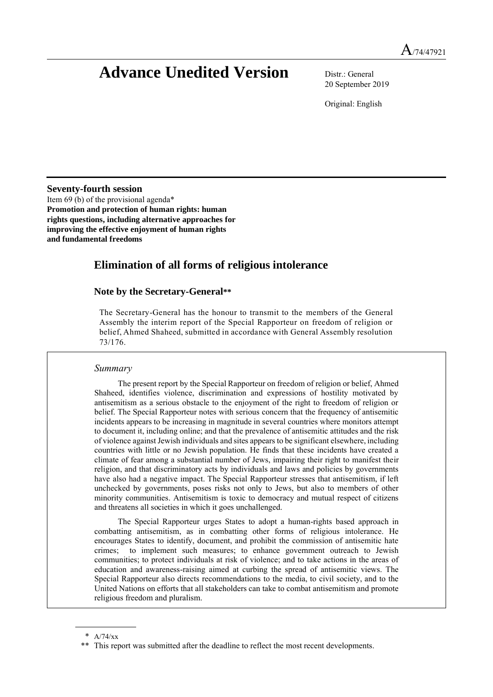# **Advance Unedited Version** Distr.: General

20 September 2019

Original: English

**Seventy-fourth session**

Item 69 (b) of the provisional agenda\* **Promotion and protection of human rights: human rights questions, including alternative approaches for improving the effective enjoyment of human rights and fundamental freedoms**

# **Elimination of all forms of religious intolerance**

# **Note by the Secretary-General\*\***

The Secretary-General has the honour to transmit to the members of the General Assembly the interim report of the Special Rapporteur on freedom of religion or belief, Ahmed Shaheed, submitted in accordance with General Assembly resolution 73/176.

# *Summary*

The present report by the Special Rapporteur on freedom of religion or belief, Ahmed Shaheed, identifies violence, discrimination and expressions of hostility motivated by antisemitism as a serious obstacle to the enjoyment of the right to freedom of religion or belief. The Special Rapporteur notes with serious concern that the frequency of antisemitic incidents appears to be increasing in magnitude in several countries where monitors attempt to document it, including online; and that the prevalence of antisemitic attitudes and the risk of violence against Jewish individuals and sites appears to be significant elsewhere, including countries with little or no Jewish population. He finds that these incidents have created a climate of fear among a substantial number of Jews, impairing their right to manifest their religion, and that discriminatory acts by individuals and laws and policies by governments have also had a negative impact. The Special Rapporteur stresses that antisemitism, if left unchecked by governments, poses risks not only to Jews, but also to members of other minority communities. Antisemitism is toxic to democracy and mutual respect of citizens and threatens all societies in which it goes unchallenged.

The Special Rapporteur urges States to adopt a human-rights based approach in combatting antisemitism, as in combatting other forms of religious intolerance. He encourages States to identify, document, and prohibit the commission of antisemitic hate crimes; to implement such measures; to enhance government outreach to Jewish communities; to protect individuals at risk of violence; and to take actions in the areas of education and awareness-raising aimed at curbing the spread of antisemitic views. The Special Rapporteur also directs recommendations to the media, to civil society, and to the United Nations on efforts that all stakeholders can take to combat antisemitism and promote religious freedom and pluralism.

<sup>\*</sup> A/74/xx

<sup>\*\*</sup> This report was submitted after the deadline to reflect the most recent developments.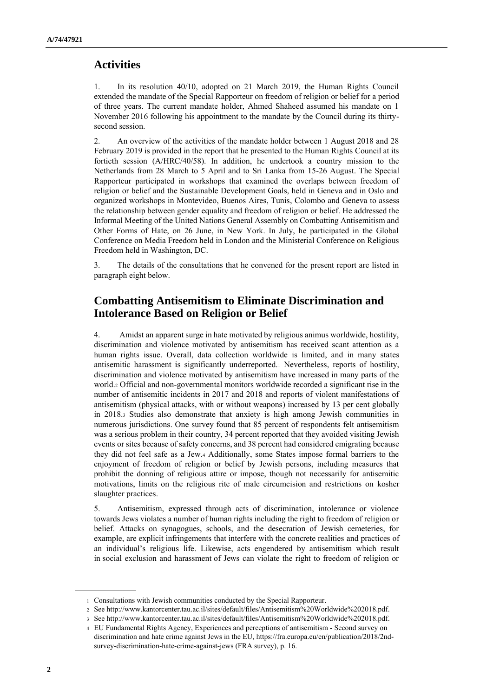# **Activities**

1. In its resolution 40/10, adopted on 21 March 2019, the Human Rights Council extended the mandate of the Special Rapporteur on freedom of religion or belief for a period of three years. The current mandate holder, Ahmed Shaheed assumed his mandate on 1 November 2016 following his appointment to the mandate by the Council during its thirtysecond session.

2. An overview of the activities of the mandate holder between 1 August 2018 and 28 February 2019 is provided in the report that he presented to the Human Rights Council at its fortieth session (A/HRC/40/58). In addition, he undertook a country mission to the Netherlands from 28 March to 5 April and to Sri Lanka from 15-26 August. The Special Rapporteur participated in workshops that examined the overlaps between freedom of religion or belief and the Sustainable Development Goals, held in Geneva and in Oslo and organized workshops in Montevideo, Buenos Aires, Tunis, Colombo and Geneva to assess the relationship between gender equality and freedom of religion or belief. He addressed the Informal Meeting of the United Nations General Assembly on Combatting Antisemitism and Other Forms of Hate, on 26 June, in New York. In July, he participated in the Global Conference on Media Freedom held in London and the Ministerial Conference on Religious Freedom held in Washington, DC.

3. The details of the consultations that he convened for the present report are listed in paragraph eight below.

# **Combatting Antisemitism to Eliminate Discrimination and Intolerance Based on Religion or Belief**

4. Amidst an apparent surge in hate motivated by religious animus worldwide, hostility, discrimination and violence motivated by antisemitism has received scant attention as a human rights issue. Overall, data collection worldwide is limited, and in many states antisemitic harassment is significantly underreported.<sup>1</sup> Nevertheless, reports of hostility, discrimination and violence motivated by antisemitism have increased in many parts of the world.<sup>2</sup> Official and non-governmental monitors worldwide recorded a significant rise in the number of antisemitic incidents in 2017 and 2018 and reports of violent manifestations of antisemitism (physical attacks, with or without weapons) increased by 13 per cent globally in 2018.<sup>3</sup> Studies also demonstrate that anxiety is high among Jewish communities in numerous jurisdictions. One survey found that 85 percent of respondents felt antisemitism was a serious problem in their country, 34 percent reported that they avoided visiting Jewish events or sites because of safety concerns, and 38 percent had considered emigrating because they did not feel safe as a Jew.<sup>4</sup> Additionally, some States impose formal barriers to the enjoyment of freedom of religion or belief by Jewish persons, including measures that prohibit the donning of religious attire or impose, though not necessarily for antisemitic motivations, limits on the religious rite of male circumcision and restrictions on kosher slaughter practices.

5. Antisemitism, expressed through acts of discrimination, intolerance or violence towards Jews violates a number of human rights including the right to freedom of religion or belief. Attacks on synagogues, schools, and the desecration of Jewish cemeteries, for example, are explicit infringements that interfere with the concrete realities and practices of an individual's religious life. Likewise, acts engendered by antisemitism which result in social exclusion and harassment of Jews can violate the right to freedom of religion or

<sup>1</sup> Consultations with Jewish communities conducted by the Special Rapporteur.

<sup>2</sup> See [http://www.kantorcenter.tau.ac.il/sites/default/files/Antisemitism%20Worldwide%202018.pdf.](http://www.kantorcenter.tau.ac.il/sites/default/files/Antisemitism%20Worldwide%202018.pdf)

<sup>3</sup> See [http://www.kantorcenter.tau.ac.il/sites/default/files/Antisemitism%20Worldwide%202018.pdf.](http://www.kantorcenter.tau.ac.il/sites/default/files/Antisemitism%20Worldwide%202018.pdf)

<sup>4</sup> EU Fundamental Rights Agency, Experiences and perceptions of antisemitism - Second survey on discrimination and hate crime against Jews in the EU[, https://fra.europa.eu/en/publication/2018/2nd](https://fra.europa.eu/en/publication/2018/2nd-survey-discrimination-hate-crime-against-jews)[survey-discrimination-hate-crime-against-jews](https://fra.europa.eu/en/publication/2018/2nd-survey-discrimination-hate-crime-against-jews) (FRA survey), p. 16.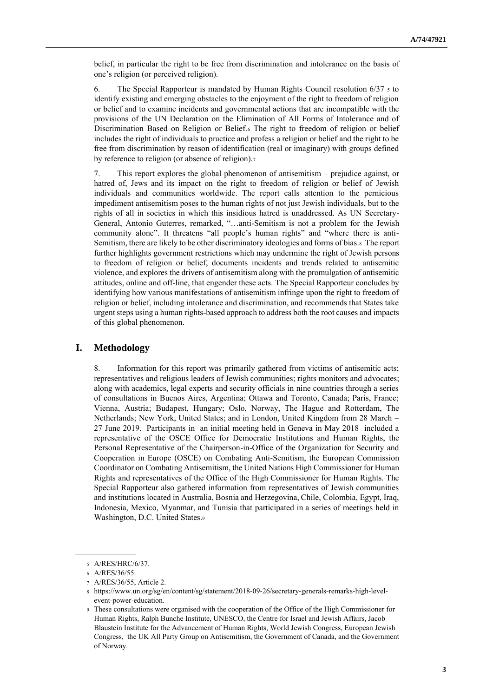belief, in particular the right to be free from discrimination and intolerance on the basis of one's religion (or perceived religion).

6. The Special Rapporteur is mandated by Human Rights Council resolution  $6/37 \times 10^{-10}$ identify existing and emerging obstacles to the enjoyment of the right to freedom of religion or belief and to examine incidents and governmental actions that are incompatible with the provisions of the UN Declaration on the Elimination of All Forms of Intolerance and of Discrimination Based on Religion or Belief.<sup>6</sup> The right to freedom of religion or belief includes the right of individuals to practice and profess a religion or belief and the right to be free from discrimination by reason of identification (real or imaginary) with groups defined by reference to religion (or absence of religion).<sup>7</sup>

7. This report explores the global phenomenon of antisemitism – prejudice against, or hatred of, Jews and its impact on the right to freedom of religion or belief of Jewish individuals and communities worldwide. The report calls attention to the pernicious impediment antisemitism poses to the human rights of not just Jewish individuals, but to the rights of all in societies in which this insidious hatred is unaddressed. As UN Secretary-General, Antonio Guterres, remarked, "…anti-Semitism is not a problem for the Jewish community alone". It threatens "all people's human rights" and "where there is anti-Semitism, there are likely to be other discriminatory ideologies and forms of bias.8 The report further highlights government restrictions which may undermine the right of Jewish persons to freedom of religion or belief, documents incidents and trends related to antisemitic violence, and explores the drivers of antisemitism along with the promulgation of antisemitic attitudes, online and off-line, that engender these acts. The Special Rapporteur concludes by identifying how various manifestations of antisemitism infringe upon the right to freedom of religion or belief, including intolerance and discrimination, and recommends that States take urgent steps using a human rights-based approach to address both the root causes and impacts of this global phenomenon.

# **I. Methodology**

8. Information for this report was primarily gathered from victims of antisemitic acts; representatives and religious leaders of Jewish communities; rights monitors and advocates; along with academics, legal experts and security officials in nine countries through a series of consultations in Buenos Aires, Argentina; Ottawa and Toronto, Canada; Paris, France; Vienna, Austria; Budapest, Hungary; Oslo, Norway, The Hague and Rotterdam, The Netherlands; New York, United States; and in London, United Kingdom from 28 March – 27 June 2019. Participants in an initial meeting held in Geneva in May 2018 included a representative of the OSCE Office for Democratic Institutions and Human Rights, the Personal Representative of the Chairperson-in-Office of the Organization for Security and Cooperation in Europe (OSCE) on Combating Anti-Semitism, the European Commission Coordinator on Combating Antisemitism, the United Nations High Commissioner for Human Rights and representatives of the Office of the High Commissioner for Human Rights. The Special Rapporteur also gathered information from representatives of Jewish communities and institutions located in Australia, Bosnia and Herzegovina, Chile, Colombia, Egypt, Iraq, Indonesia, Mexico, Myanmar, and Tunisia that participated in a series of meetings held in Washington, D.C. United States.<sup>9</sup>

<sup>5</sup> A/RES/HRC/6/37.

<sup>6</sup> A/RES/36/55.

<sup>7</sup> A/RES/36/55, Article 2.

<sup>8</sup> [https://www.un.org/sg/en/content/sg/statement/2018-09-26/secretary-generals-remarks-high-level](https://www.un.org/sg/en/content/sg/statement/2018-09-26/secretary-generals-remarks-high-level-event-power-education)[event-power-education.](https://www.un.org/sg/en/content/sg/statement/2018-09-26/secretary-generals-remarks-high-level-event-power-education)

<sup>9</sup> These consultations were organised with the cooperation of the Office of the High Commissioner for Human Rights, Ralph Bunche Institute, UNESCO, the Centre for Israel and Jewish Affairs, Jacob Blaustein Institute for the Advancement of Human Rights, World Jewish Congress, European Jewish Congress, the UK All Party Group on Antisemitism, the Government of Canada, and the Government of Norway.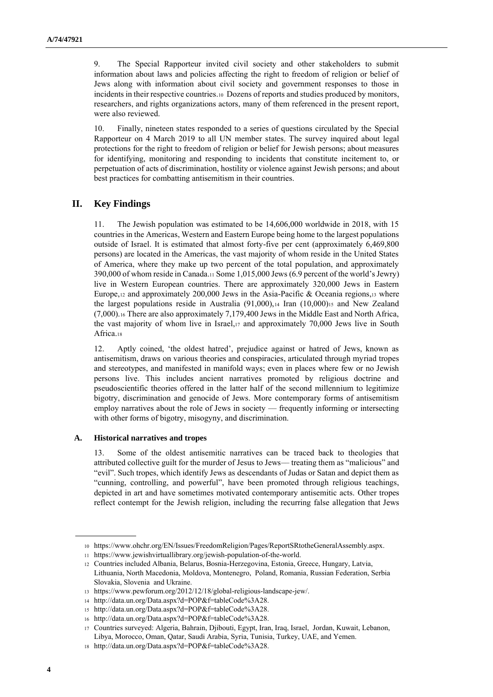9. The Special Rapporteur invited civil society and other stakeholders to submit information about laws and policies affecting the right to freedom of religion or belief of Jews along with information about civil society and government responses to those in incidents in their respective countries.10 Dozens of reports and studies produced by monitors, researchers, and rights organizations actors, many of them referenced in the present report, were also reviewed.

10. Finally, nineteen states responded to a series of questions circulated by the Special Rapporteur on 4 March 2019 to all UN member states. The survey inquired about legal protections for the right to freedom of religion or belief for Jewish persons; about measures for identifying, monitoring and responding to incidents that constitute incitement to, or perpetuation of acts of discrimination, hostility or violence against Jewish persons; and about best practices for combatting antisemitism in their countries.

# **II. Key Findings**

11. The Jewish population was estimated to be 14,606,000 worldwide in 2018, with 15 countries in the Americas, Western and Eastern Europe being home to the largest populations outside of Israel. It is estimated that almost forty-five per cent (approximately 6,469,800 persons) are located in the Americas, the vast majority of whom reside in the United States of America, where they make up two percent of the total population, and approximately  $390,000$  of whom reside in Canada.11 Some 1,015,000 Jews (6.9 percent of the world's Jewry) live in Western European countries. There are approximately 320,000 Jews in Eastern Europe,  $12$  and approximately 200,000 Jews in the Asia-Pacific & Oceania regions,  $13$  where the largest populations reside in Australia  $(91,000)$ ,  $_{14}$  Iran  $(10,000)$ <sub>15</sub> and New Zealand (7,000).<sup>16</sup> There are also approximately 7,179,400 Jews in the Middle East and North Africa, the vast majority of whom live in Israel,<sup>17</sup> and approximately 70,000 Jews live in South Africa.<sup>18</sup>

12. Aptly coined, 'the oldest hatred', prejudice against or hatred of Jews, known as antisemitism, draws on various theories and conspiracies, articulated through myriad tropes and stereotypes, and manifested in manifold ways; even in places where few or no Jewish persons live. This includes ancient narratives promoted by religious doctrine and pseudoscientific theories offered in the latter half of the second millennium to legitimize bigotry, discrimination and genocide of Jews. More contemporary forms of antisemitism employ narratives about the role of Jews in society –– frequently informing or intersecting with other forms of bigotry, misogyny, and discrimination.

#### **A. Historical narratives and tropes**

13. Some of the oldest antisemitic narratives can be traced back to theologies that attributed collective guilt for the murder of Jesus to Jews–– treating them as "malicious" and "evil". Such tropes, which identify Jews as descendants of Judas or Satan and depict them as "cunning, controlling, and powerful", have been promoted through religious teachings, depicted in art and have sometimes motivated contemporary antisemitic acts. Other tropes reflect contempt for the Jewish religion, including the recurring false allegation that Jews

<sup>10</sup> [https://www.ohchr.org/EN/Issues/FreedomReligion/Pages/ReportSRtotheGeneralAssembly.aspx.](https://www.ohchr.org/EN/Issues/FreedomReligion/Pages/ReportSRtotheGeneralAssembly.aspx)

<sup>11</sup> [https://www.jewishvirtuallibrary.org/jewish-population-of-the-world.](https://www.jewishvirtuallibrary.org/jewish-population-of-the-world)

<sup>12</sup> Countries included Albania, Belarus, Bosnia-Herzegovina, Estonia, Greece, Hungary, Latvia, Lithuania, North Macedonia, Moldova, Montenegro, Poland, Romania, Russian Federation, Serbia Slovakia, Slovenia and Ukraine.

<sup>13</sup> [https://www.pewforum.org/2012/12/18/global-religious-landscape-jew/.](https://www.pewforum.org/2012/12/18/global-religious-landscape-jew/)

<sup>14</sup> [http://data.un.org/Data.aspx?d=POP&f=tableCode%3A28.](http://data.un.org/Data.aspx?d=POP&f=tableCode%3A28)

<sup>15</sup> [http://data.un.org/Data.aspx?d=POP&f=tableCode%3A28.](http://data.un.org/Data.aspx?d=POP&f=tableCode%3A28)

<sup>16</sup> [http://data.un.org/Data.aspx?d=POP&f=tableCode%3A28.](http://data.un.org/Data.aspx?d=POP&f=tableCode%3A28)

<sup>17</sup> Countries surveyed: Algeria, Bahrain, Djibouti, Egypt, Iran, Iraq, Israel, Jordan, Kuwait, Lebanon, Libya, Morocco, Oman, Qatar, Saudi Arabia, Syria, Tunisia, Turkey, UAE, and Yemen.

<sup>18</sup> [http://data.un.org/Data.aspx?d=POP&f=tableCode%3A28.](http://data.un.org/Data.aspx?d=POP&f=tableCode%3A28)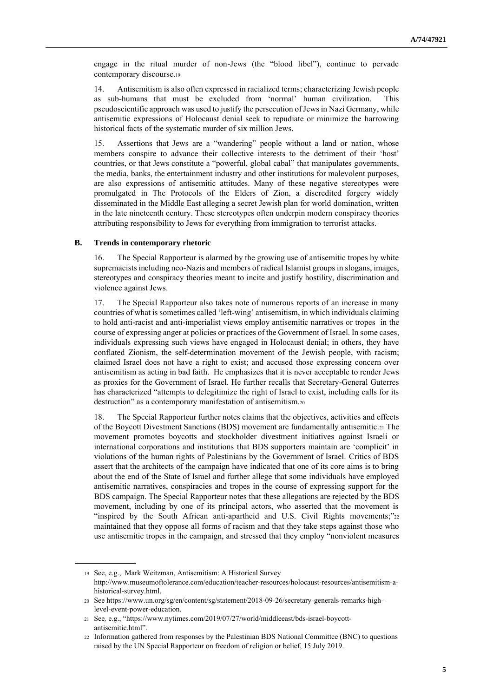engage in the ritual murder of non-Jews (the "blood libel"), continue to pervade contemporary discourse.<sup>19</sup>

14. Antisemitism is also often expressed in racialized terms; characterizing Jewish people as sub-humans that must be excluded from 'normal' human civilization. This pseudoscientific approach was used to justify the persecution of Jews in Nazi Germany, while antisemitic expressions of Holocaust denial seek to repudiate or minimize the harrowing historical facts of the systematic murder of six million Jews.

15. Assertions that Jews are a "wandering" people without a land or nation, whose members conspire to advance their collective interests to the detriment of their 'host' countries, or that Jews constitute a "powerful, global cabal" that manipulates governments, the media, banks, the entertainment industry and other institutions for malevolent purposes, are also expressions of antisemitic attitudes. Many of these negative stereotypes were promulgated in The Protocols of the Elders of Zion, a discredited forgery widely disseminated in the Middle East alleging a secret Jewish plan for world domination, written in the late nineteenth century. These stereotypes often underpin modern conspiracy theories attributing responsibility to Jews for everything from immigration to terrorist attacks.

#### **B. Trends in contemporary rhetoric**

The Special Rapporteur is alarmed by the growing use of antisemitic tropes by white supremacists including neo-Nazis and members of radical Islamist groups in slogans, images, stereotypes and conspiracy theories meant to incite and justify hostility, discrimination and violence against Jews.

17. The Special Rapporteur also takes note of numerous reports of an increase in many countries of what is sometimes called 'left-wing' antisemitism, in which individuals claiming to hold anti-racist and anti-imperialist views employ antisemitic narratives or tropes in the course of expressing anger at policies or practices of the Government of Israel. In some cases, individuals expressing such views have engaged in Holocaust denial; in others, they have conflated Zionism, the self-determination movement of the Jewish people, with racism; claimed Israel does not have a right to exist; and accused those expressing concern over antisemitism as acting in bad faith. He emphasizes that it is never acceptable to render Jews as proxies for the Government of Israel. He further recalls that Secretary-General Guterres has characterized "attempts to delegitimize the right of Israel to exist, including calls for its destruction" as a contemporary manifestation of antisemitism.<sup>20</sup>

18. The Special Rapporteur further notes claims that the objectives, activities and effects of the Boycott Divestment Sanctions (BDS) movement are fundamentally antisemitic.<sup>21</sup> The movement promotes boycotts and stockholder divestment initiatives against Israeli or international corporations and institutions that BDS supporters maintain are 'complicit' in violations of the human rights of Palestinians by the Government of Israel. Critics of BDS assert that the architects of the campaign have indicated that one of its core aims is to bring about the end of the State of Israel and further allege that some individuals have employed antisemitic narratives, conspiracies and tropes in the course of expressing support for the BDS campaign. The Special Rapporteur notes that these allegations are rejected by the BDS movement, including by one of its principal actors, who asserted that the movement is "inspired by the South African anti-apartheid and U.S. Civil Rights movements;"<sup>22</sup> maintained that they oppose all forms of racism and that they take steps against those who use antisemitic tropes in the campaign, and stressed that they employ "nonviolent measures

<sup>19</sup> See, e.g., Mark Weitzman, Antisemitism: A Historical Survey [http://www.museumoftolerance.com/education/teacher-resources/holocaust-resources/antisemitism-a](http://www.museumoftolerance.com/education/teacher-resources/holocaust-resources/antisemitism-a-historical-survey.html)[historical-survey.html.](http://www.museumoftolerance.com/education/teacher-resources/holocaust-resources/antisemitism-a-historical-survey.html)

<sup>20</sup> Se[e https://www.un.org/sg/en/content/sg/statement/2018-09-26/secretary-generals-remarks-high](https://www.un.org/sg/en/content/sg/statement/2018-09-26/secretary-generals-remarks-high-level-event-power-education)[level-event-power-education.](https://www.un.org/sg/en/content/sg/statement/2018-09-26/secretary-generals-remarks-high-level-event-power-education)

<sup>21</sup> See*,* e.g., ["https://www.nytimes.com/2019/07/27/world/middleeast/bds-israel-boycott](https://www.nytimes.com/2019/07/27/world/middleeast/bds-israel-boycott-antisemitic.html)[antisemitic.html"](https://www.nytimes.com/2019/07/27/world/middleeast/bds-israel-boycott-antisemitic.html).

<sup>22</sup> Information gathered from responses by the Palestinian BDS National Committee (BNC) to questions raised by the UN Special Rapporteur on freedom of religion or belief, 15 July 2019.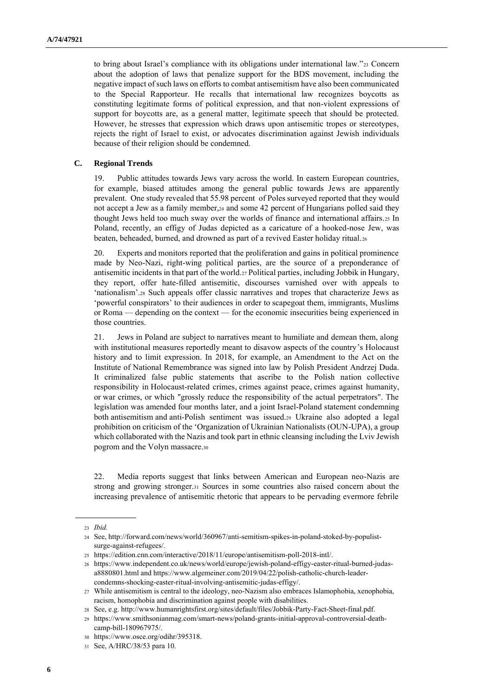to bring about Israel's compliance with its obligations under international law."23 Concern about the adoption of laws that penalize support for the BDS movement, including the negative impact of such laws on efforts to combat antisemitism have also been communicated to the Special Rapporteur. He recalls that international law recognizes boycotts as constituting legitimate forms of political expression, and that non-violent expressions of support for boycotts are, as a general matter, legitimate speech that should be protected. However, he stresses that expression which draws upon antisemitic tropes or stereotypes, rejects the right of Israel to exist, or advocates discrimination against Jewish individuals because of their religion should be condemned.

### **C. Regional Trends**

19. Public attitudes towards Jews vary across the world. In eastern European countries, for example, biased attitudes among the general public towards Jews are apparently prevalent. One study revealed that 55.98 percent of Poles surveyed reported that they would not accept a Jew as a family member,<sup>24</sup> and some 42 percent of Hungarians polled said they thought Jews held too much sway over the worlds of finance and international affairs.<sup>25</sup> In Poland, recently, an effigy of Judas depicted as a caricature of a hooked-nose Jew, was beaten, beheaded, burned, and drowned as part of a revived Easter holiday ritual.<sup>26</sup>

20. Experts and monitors reported that the proliferation and gains in political prominence made by Neo-Nazi, right-wing political parties, are the source of a preponderance of antisemitic incidents in that part of the world.27Political parties, including Jobbik in Hungary, they report, offer hate-filled antisemitic, discourses varnished over with appeals to 'nationalism'.<sup>28</sup> Such appeals offer classic narratives and tropes that characterize Jews as 'powerful conspirators' to their audiences in order to scapegoat them, immigrants, Muslims or Roma –– depending on the context –– for the economic insecurities being experienced in those countries.

21. Jews in Poland are subject to narratives meant to humiliate and demean them, along with institutional measures reportedly meant to disavow aspects of the country's Holocaust history and to limit expression. In 2018, for example, an Amendment to the Act on the Institute of National Remembrance was signed into law by Polish President Andrzej Duda. It criminalized false public statements that ascribe to the Polish nation collective responsibility in Holocaust-related crimes, crimes against peace, crimes against humanity, or war crimes, or which "grossly reduce the responsibility of the actual perpetrators". The legislation was amended four months later, and a joint Israel-Poland statement condemning both antisemitism and anti-Polish sentiment was issued.<sup>29</sup> Ukraine also adopted a legal prohibition on criticism of the 'Organization of Ukrainian Nationalists (OUN-UPA), a group which collaborated with the Nazis and took part in ethnic cleansing including the Lviv Jewish pogrom and the Volyn massacre.<sup>30</sup>

22. Media reports suggest that links between American and European neo-Nazis are strong and growing stronger.<sup>31</sup> Sources in some countries also raised concern about the increasing prevalence of antisemitic rhetoric that appears to be pervading evermore febrile

<sup>23</sup> *Ibid.*

<sup>24</sup> See, [http://forward.com/news/world/360967/anti-semitism-spikes-in-poland-stoked-by-populist](http://forward.com/news/world/360967/anti-semitism-spikes-in-poland-stoked-by-populist-surge-against-refugees/)[surge-against-refugees/.](http://forward.com/news/world/360967/anti-semitism-spikes-in-poland-stoked-by-populist-surge-against-refugees/)

<sup>25</sup> [https://edition.cnn.com/interactive/2018/11/europe/antisemitism-poll-2018-intl/.](https://edition.cnn.com/interactive/2018/11/europe/antisemitism-poll-2018-intl/)

<sup>26</sup> [https://www.independent.co.uk/news/world/europe/jewish-poland-effigy-easter-ritual-burned-judas](https://www.independent.co.uk/news/world/europe/jewish-poland-effigy-easter-ritual-burned-judas-a8880801.html)[a8880801.html](https://www.independent.co.uk/news/world/europe/jewish-poland-effigy-easter-ritual-burned-judas-a8880801.html) an[d https://www.algemeiner.com/2019/04/22/polish-catholic-church-leader](https://www.algemeiner.com/2019/04/22/polish-catholic-church-leader-condemns-shocking-easter-ritual-involving-antisemitic-judas-effigy/)[condemns-shocking-easter-ritual-involving-antisemitic-judas-effigy/.](https://www.algemeiner.com/2019/04/22/polish-catholic-church-leader-condemns-shocking-easter-ritual-involving-antisemitic-judas-effigy/)

<sup>27</sup> While antisemitism is central to the ideology, neo-Nazism also embraces Islamophobia, xenophobia, racism, homophobia and discrimination against people with disabilities.

<sup>28</sup> See, e.g[. http://www.humanrightsfirst.org/sites/default/files/Jobbik-Party-Fact-Sheet-final.pdf.](http://www.humanrightsfirst.org/sites/default/files/Jobbik-Party-Fact-Sheet-final.pdf)

<sup>29</sup> https://www.smithsonianmag.com/smart-news/poland-grants-initial-approval-controversial-deathcamp-bill-180967975/.

<sup>30</sup> [https://www.osce.org/odihr/395318.](https://www.osce.org/odihr/395318)

<sup>31</sup> See, A/HRC/38/53 para 10.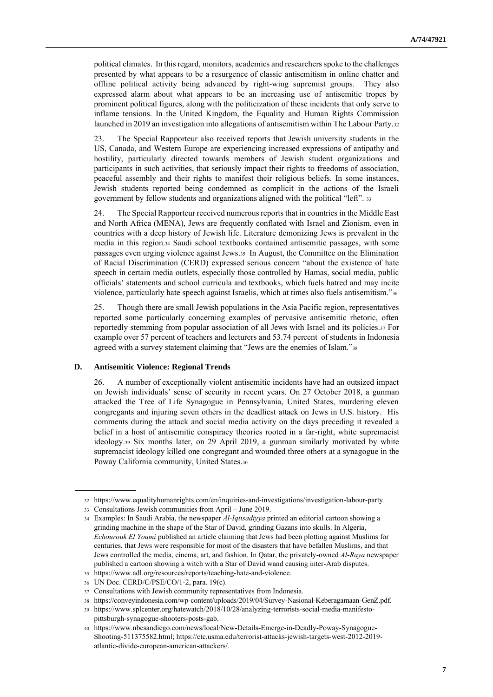political climates. In this regard, monitors, academics and researchers spoke to the challenges presented by what appears to be a resurgence of classic antisemitism in online chatter and offline political activity being advanced by right-wing supremist groups. They also expressed alarm about what appears to be an increasing use of antisemitic tropes by prominent political figures, along with the politicization of these incidents that only serve to inflame tensions. In the United Kingdom, the Equality and Human Rights Commission launched in 2019 an investigation into allegations of antisemitism within The Labour Party.<sup>32</sup>

23. The Special Rapporteur also received reports that Jewish university students in the US, Canada, and Western Europe are experiencing increased expressions of antipathy and hostility, particularly directed towards members of Jewish student organizations and participants in such activities, that seriously impact their rights to freedoms of association, peaceful assembly and their rights to manifest their religious beliefs. In some instances, Jewish students reported being condemned as complicit in the actions of the Israeli government by fellow students and organizations aligned with the political "left". <sup>33</sup>

24. The Special Rapporteur received numerous reports that in countries in the Middle East and North Africa (MENA), Jews are frequently conflated with Israel and Zionism, even in countries with a deep history of Jewish life. Literature demonizing Jews is prevalent in the media in this region.<sup>34</sup> Saudi school textbooks contained antisemitic passages, with some passages even urging violence against Jews.35 In August, the Committee on the Elimination of Racial Discrimination (CERD) expressed serious concern "about the existence of hate speech in certain media outlets, especially those controlled by Hamas, social media, public officials' statements and school curricula and textbooks, which fuels hatred and may incite violence, particularly hate speech against Israelis, which at times also fuels antisemitism."<sup>36</sup>

25. Though there are small Jewish populations in the Asia Pacific region, representatives reported some particularly concerning examples of pervasive antisemitic rhetoric, often reportedly stemming from popular association of all Jews with Israel and its policies.<sup>37</sup> For example over 57 percent of teachers and lecturers and 53.74 percent of students in Indonesia agreed with a survey statement claiming that "Jews are the enemies of Islam."<sup>38</sup>

# **D. Antisemitic Violence: Regional Trends**

26. A number of exceptionally violent antisemitic incidents have had an outsized impact on Jewish individuals' sense of security in recent years. On 27 October 2018, a gunman attacked the Tree of Life Synagogue in Pennsylvania, United States, murdering eleven congregants and injuring seven others in the deadliest attack on Jews in U.S. history. His comments during the attack and social media activity on the days preceding it revealed a belief in a host of antisemitic conspiracy theories rooted in a far-right, white supremacist ideology.<sup>39</sup> Six months later, on 29 April 2019, a gunman similarly motivated by white supremacist ideology killed one congregant and wounded three others at a synagogue in the Poway California community, United States.<sup>40</sup>

<sup>32</sup> https://www.equalityhumanrights.com/en/inquiries-and-investigations/investigation-labour-party.

<sup>33</sup> Consultations Jewish communities from April – June 2019.

<sup>34</sup> Examples: In Saudi Arabia, the newspaper *Al-Iqtisadiyya* printed an editorial cartoon showing a grinding machine in the shape of the Star of David, grinding Gazans into skulls. In Algeria, *Echourouk El Youmi* published an article claiming that Jews had been plotting against Muslims for centuries, that Jews were responsible for most of the disasters that have befallen Muslims, and that Jews controlled the media, cinema, art, and fashion. In Qatar, the privately-owned *Al-Raya* newspaper published a cartoon showing a witch with a Star of David wand causing inter-Arab disputes.

<sup>35</sup> [https://www.adl.org/resources/reports/teaching-hate-and-violence.](https://www.adl.org/resources/reports/teaching-hate-and-violence)

<sup>36</sup> UN Doc. CERD/C/PSE/CO/1-2, para. 19(c).

<sup>37</sup> Consultations with Jewish community representatives from Indonesia.

<sup>38</sup> [https://conveyindonesia.com/wp-content/uploads/2019/04/Survey-Nasional-Keberagamaan-GenZ.pdf.](https://conveyindonesia.com/wp-content/uploads/2019/04/Survey-Nasional-Keberagamaan-GenZ.pdf)

<sup>39</sup> [https://www.splcenter.org/hatewatch/2018/10/28/analyzing-terrorists-social-media-manifesto](https://www.splcenter.org/hatewatch/2018/10/28/analyzing-terrorists-social-media-manifesto-pittsburgh-synagogue-shooters-posts-gab)[pittsburgh-synagogue-shooters-posts-gab.](https://www.splcenter.org/hatewatch/2018/10/28/analyzing-terrorists-social-media-manifesto-pittsburgh-synagogue-shooters-posts-gab)

<sup>40</sup> [https://www.nbcsandiego.com/news/local/New-Details-Emerge-in-Deadly-Poway-Synagogue-](https://www.nbcsandiego.com/news/local/New-Details-Emerge-in-Deadly-Poway-Synagogue-Shooting-511375582.html)[Shooting-511375582.html;](https://www.nbcsandiego.com/news/local/New-Details-Emerge-in-Deadly-Poway-Synagogue-Shooting-511375582.html) [https://ctc.usma.edu/terrorist-attacks-jewish-targets-west-2012-2019](https://ctc.usma.edu/terrorist-attacks-jewish-targets-west-2012-2019-atlantic-divide-european-american-attackers/) [atlantic-divide-european-american-attackers/.](https://ctc.usma.edu/terrorist-attacks-jewish-targets-west-2012-2019-atlantic-divide-european-american-attackers/)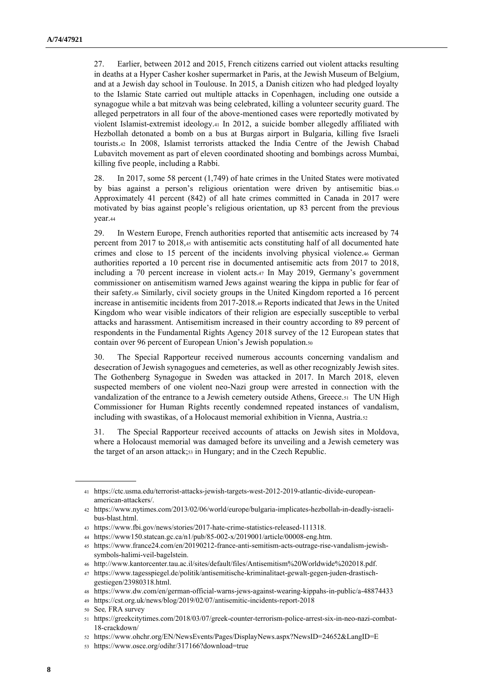27. Earlier, between 2012 and 2015, French citizens carried out violent attacks resulting in deaths at a Hyper Casher kosher supermarket in Paris, at the Jewish Museum of Belgium, and at a Jewish day school in Toulouse. In 2015, a Danish citizen who had pledged loyalty to the Islamic State carried out multiple attacks in Copenhagen, including one outside a synagogue while a bat mitzvah was being celebrated, killing a volunteer security guard. The alleged perpetrators in all four of the above-mentioned cases were reportedly motivated by violent Islamist-extremist ideology.<sup>41</sup> In 2012, a suicide bomber allegedly affiliated with Hezbollah detonated a bomb on a bus at Burgas airport in Bulgaria, killing five Israeli tourists.<sup>42</sup> In 2008, Islamist terrorists attacked the India Centre of the Jewish Chabad Lubavitch movement as part of eleven coordinated shooting and bombings across Mumbai, killing five people, including a Rabbi.

28. In 2017, some 58 percent (1,749) of hate crimes in the United States were motivated by bias against a person's religious orientation were driven by antisemitic bias.<sup>43</sup> Approximately 41 percent (842) of all hate crimes committed in Canada in 2017 were motivated by bias against people's religious orientation, up 83 percent from the previous year.<sup>44</sup>

29. In Western Europe, French authorities reported that antisemitic acts increased by 74 percent from 2017 to 2018,<sup>45</sup> with antisemitic acts constituting half of all documented hate crimes and close to 15 percent of the incidents involving physical violence.<sup>46</sup> German authorities reported a 10 percent rise in documented antisemitic acts from 2017 to 2018, including a 70 percent increase in violent acts.<sup>47</sup> In May 2019, Germany's government commissioner on antisemitism warned Jews against wearing the kippa in public for fear of their safety.<sup>48</sup> Similarly, civil society groups in the United Kingdom reported a 16 percent increase in antisemitic incidents from 2017-2018.<sup>49</sup> Reports indicated that Jews in the United Kingdom who wear visible indicators of their religion are especially susceptible to verbal attacks and harassment. Antisemitism increased in their country according to 89 percent of respondents in the Fundamental Rights Agency 2018 survey of the 12 European states that contain over 96 percent of European Union's Jewish population.<sup>50</sup>

30. The Special Rapporteur received numerous accounts concerning vandalism and desecration of Jewish synagogues and cemeteries, as well as other recognizably Jewish sites. The Gothenberg Synagogue in Sweden was attacked in 2017. In March 2018, eleven suspected members of one violent neo-Nazi group were arrested in connection with the vandalization of the entrance to a Jewish cemetery outside Athens, Greece.51 The UN High Commissioner for Human Rights recently condemned repeated instances of vandalism, including with swastikas, of a Holocaust memorial exhibition in Vienna, Austria.<sup>52</sup>

31. The Special Rapporteur received accounts of attacks on Jewish sites in Moldova, where a Holocaust memorial was damaged before its unveiling and a Jewish cemetery was the target of an arson attack;<sup>53</sup> in Hungary; and in the Czech Republic.

<sup>41</sup> [https://ctc.usma.edu/terrorist-attacks-jewish-targets-west-2012-2019-atlantic-divide-european](https://ctc.usma.edu/terrorist-attacks-jewish-targets-west-2012-2019-atlantic-divide-european-american-attackers/)[american-attackers/.](https://ctc.usma.edu/terrorist-attacks-jewish-targets-west-2012-2019-atlantic-divide-european-american-attackers/)

<sup>42</sup> [https://www.nytimes.com/2013/02/06/world/europe/bulgaria-implicates-hezbollah-in-deadly-israeli](https://www.nytimes.com/2013/02/06/world/europe/bulgaria-implicates-hezbollah-in-deadly-israeli-bus-blast.html)[bus-blast.html.](https://www.nytimes.com/2013/02/06/world/europe/bulgaria-implicates-hezbollah-in-deadly-israeli-bus-blast.html)

<sup>43</sup> [https://www.fbi.gov/news/stories/2017-hate-crime-statistics-released-111318.](https://www.fbi.gov/news/stories/2017-hate-crime-statistics-released-111318)

<sup>44</sup> [https://www150.statcan.gc.ca/n1/pub/85-002-x/2019001/article/00008-eng.htm.](https://www150.statcan.gc.ca/n1/pub/85-002-x/2019001/article/00008-eng.htm)

<sup>45</sup> [https://www.france24.com/en/20190212-france-anti-semitism-acts-outrage-rise-vandalism-jewish](https://www.france24.com/en/20190212-france-anti-semitism-acts-outrage-rise-vandalism-jewish-symbols-halimi-veil-bagelstein)[symbols-halimi-veil-bagelstein.](https://www.france24.com/en/20190212-france-anti-semitism-acts-outrage-rise-vandalism-jewish-symbols-halimi-veil-bagelstein)

<sup>46</sup> [http://www.kantorcenter.tau.ac.il/sites/default/files/Antisemitism%20Worldwide%202018.pdf.](http://www.kantorcenter.tau.ac.il/sites/default/files/Antisemitism%20Worldwide%202018.pdf)

<sup>47</sup> [https://www.tagesspiegel.de/politik/antisemitische-kriminalitaet-gewalt-gegen-juden-drastisch](https://www.tagesspiegel.de/politik/antisemitische-kriminalitaet-gewalt-gegen-juden-drastisch-gestiegen/23980318.html)[gestiegen/23980318.html.](https://www.tagesspiegel.de/politik/antisemitische-kriminalitaet-gewalt-gegen-juden-drastisch-gestiegen/23980318.html)

<sup>48</sup> <https://www.dw.com/en/german-official-warns-jews-against-wearing-kippahs-in-public/a-48874433>

<sup>49</sup> <https://cst.org.uk/news/blog/2019/02/07/antisemitic-incidents-report-2018>

<sup>50</sup> See*,* FRA survey

<sup>51</sup> https://greekcitytimes.com/2018/03/07/greek-counter-terrorism-police-arrest-six-in-neo-nazi-combat-18-crackdown/

<sup>52</sup> <https://www.ohchr.org/EN/NewsEvents/Pages/DisplayNews.aspx?NewsID=24652&LangID=E>

<sup>53</sup> <https://www.osce.org/odihr/317166?download=true>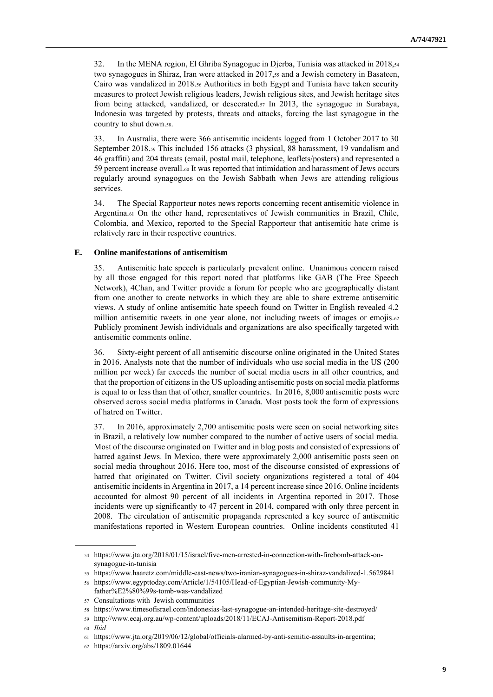32. In the MENA region, El Ghriba Synagogue in Djerba, Tunisia was attacked in 2018,<sup>54</sup> two synagogues in Shiraz, Iran were attacked in 2017,<sup>55</sup> and a Jewish cemetery in Basateen, Cairo was vandalized in 2018.<sup>56</sup> Authorities in both Egypt and Tunisia have taken security measures to protect Jewish religious leaders, Jewish religious sites, and Jewish heritage sites from being attacked, vandalized, or desecrated.<sup>57</sup> In 2013, the synagogue in Surabaya, Indonesia was targeted by protests, threats and attacks, forcing the last synagogue in the country to shut down.58.

33. In Australia, there were 366 antisemitic incidents logged from 1 October 2017 to 30 September 2018.<sup>59</sup> This included 156 attacks (3 physical, 88 harassment, 19 vandalism and 46 graffiti) and 204 threats (email, postal mail, telephone, leaflets/posters) and represented a 59 percent increase overall.<sup>60</sup> It was reported that intimidation and harassment of Jews occurs regularly around synagogues on the Jewish Sabbath when Jews are attending religious services.

34. The Special Rapporteur notes news reports concerning recent antisemitic violence in Argentina.<sub>61</sub> On the other hand, representatives of Jewish communities in Brazil, Chile, Colombia, and Mexico, reported to the Special Rapporteur that antisemitic hate crime is relatively rare in their respective countries.

#### **E. Online manifestations of antisemitism**

35. Antisemitic hate speech is particularly prevalent online. Unanimous concern raised by all those engaged for this report noted that platforms like GAB (The Free Speech Network), 4Chan, and Twitter provide a forum for people who are geographically distant from one another to create networks in which they are able to share extreme antisemitic views. A study of online antisemitic hate speech found on Twitter in English revealed 4.2 million antisemitic tweets in one year alone, not including tweets of images or emojis.62 Publicly prominent Jewish individuals and organizations are also specifically targeted with antisemitic comments online.

36. Sixty-eight percent of all antisemitic discourse online originated in the United States in 2016. Analysts note that the number of individuals who use social media in the US (200 million per week) far exceeds the number of social media users in all other countries, and that the proportion of citizens in the US uploading antisemitic posts on social media platforms is equal to or less than that of other, smaller countries. In 2016, 8,000 antisemitic posts were observed across social media platforms in Canada. Most posts took the form of expressions of hatred on Twitter.

37. In 2016, approximately 2,700 antisemitic posts were seen on social networking sites in Brazil, a relatively low number compared to the number of active users of social media. Most of the discourse originated on Twitter and in blog posts and consisted of expressions of hatred against Jews. In Mexico, there were approximately 2,000 antisemitic posts seen on social media throughout 2016. Here too, most of the discourse consisted of expressions of hatred that originated on Twitter. Civil society organizations registered a total of 404 antisemitic incidents in Argentina in 2017, a 14 percentincrease since 2016. Online incidents accounted for almost 90 percent of all incidents in Argentina reported in 2017. Those incidents were up significantly to 47 percent in 2014, compared with only three percent in 2008. The circulation of antisemitic propaganda represented a key source of antisemitic manifestations reported in Western European countries. Online incidents constituted 41

<sup>54</sup> [https://www.jta.org/2018/01/15/israel/five-men-arrested-in-connection-with-firebomb-attack-on](https://www.jta.org/2018/01/15/israel/five-men-arrested-in-connection-with-firebomb-attack-on-synagogue-in-tunisia)[synagogue-in-tunisia](https://www.jta.org/2018/01/15/israel/five-men-arrested-in-connection-with-firebomb-attack-on-synagogue-in-tunisia)

<sup>55</sup> <https://www.haaretz.com/middle-east-news/two-iranian-synagogues-in-shiraz-vandalized-1.5629841> <sup>56</sup> [https://www.egypttoday.com/Article/1/54105/Head-of-Egyptian-Jewish-community-My-](https://www.egypttoday.com/Article/1/54105/Head-of-Egyptian-Jewish-community-My-father%E2%80%99s-tomb-was-vandalized)

[father%E2%80%99s-tomb-was-vandalized](https://www.egypttoday.com/Article/1/54105/Head-of-Egyptian-Jewish-community-My-father%E2%80%99s-tomb-was-vandalized)

<sup>57</sup> Consultations with Jewish communities

<sup>58</sup> <https://www.timesofisrael.com/indonesias-last-synagogue-an-intended-heritage-site-destroyed/>

<sup>59</sup> <http://www.ecaj.org.au/wp-content/uploads/2018/11/ECAJ-Antisemitism-Report-2018.pdf> <sup>60</sup> *Ibid*

<sup>61</sup> [https://www.jta.org/2019/06/12/global/officials-alarmed-by-anti-semitic-assaults-in-argentina;](https://www.jta.org/2019/06/12/global/officials-alarmed-by-anti-semitic-assaults-in-argentina)

<sup>62</sup> <https://arxiv.org/abs/1809.01644>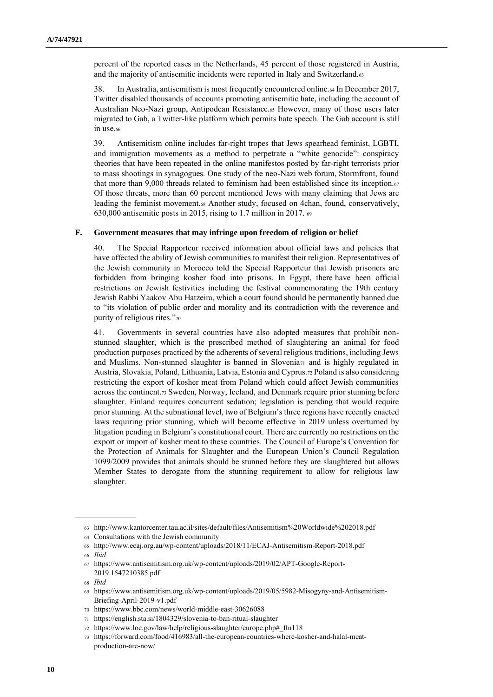percent of the reported cases in the Netherlands, 45 percent of those registered in Austria, and the majority of antisemitic incidents were reported in Italy and Switzerland.<sup>63</sup>

38. In Australia, antisemitism is most frequently encountered online.<sup>64</sup> In December 2017, Twitter disabled thousands of accounts promoting antisemitic hate, including the account of Australian Neo-Nazi group, Antipodean Resistance.<sup>65</sup> However, many of those users later migrated to Gab, a Twitter-like platform which permits hate speech. The Gab account is still in use.<sup>66</sup>

39. Antisemitism online includes far-right tropes that Jews spearhead feminist, LGBTI, and immigration movements as a method to perpetrate a "white genocide": conspiracy theories that have been repeated in the online manifestos posted by far-right terrorists prior to mass shootings in synagogues. One study of the neo-Nazi web forum, Stormfront, found that more than 9,000 threads related to feminism had been established since its inception. $\epsilon_7$ Of those threats, more than 60 percent mentioned Jews with many claiming that Jews are leading the feminist movement.<sup>68</sup> Another study, focused on 4chan, found, conservatively, 630,000 antisemitic posts in 2015, rising to 1.7 million in 2017. <sup>69</sup>

#### **F. Government measures that may infringe upon freedom of religion or belief**

40. The Special Rapporteur received information about official laws and policies that have affected the ability of Jewish communities to manifest their religion. Representatives of the Jewish community in Morocco told the Special Rapporteur that Jewish prisoners are forbidden from bringing kosher food into prisons. In Egypt, there have been official restrictions on Jewish festivities including the festival commemorating the 19th century Jewish Rabbi Yaakov Abu Hatzeira, which a court found should be permanently banned due to "its violation of public order and morality and its contradiction with the reverence and purity of religious rites."<sup>70</sup>

41. Governments in several countries have also adopted measures that prohibit nonstunned slaughter, which is the prescribed method of slaughtering an animal for food production purposes practiced by the adherents of several religious traditions, including Jews and Muslims. Non-stunned slaughter is banned in Slovenia<sub>71</sub> and is highly regulated in Austria, Slovakia, Poland, Lithuania, Latvia, Estonia and Cyprus.72Poland is also considering restricting the export of kosher meat from Poland which could affect Jewish communities across the continent.<sup>73</sup> Sweden, Norway, Iceland, and Denmark require prior stunning before slaughter. Finland requires concurrent sedation; legislation is pending that would require prior stunning. At the subnational level, two of Belgium's three regions have recently enacted laws requiring prior stunning, which will become effective in 2019 unless overturned by litigation pending in Belgium's constitutional court. There are currently no restrictions on the export or import of kosher meat to these countries. The Council of Europe's Convention for the Protection of Animals for Slaughter and the European Union's Council Regulation 1099/2009 provides that animals should be stunned before they are slaughtered but allows Member States to derogate from the stunning requirement to allow for religious law slaughter.

<sup>63</sup> <http://www.kantorcenter.tau.ac.il/sites/default/files/Antisemitism%20Worldwide%202018.pdf>

<sup>64</sup> Consultations with the Jewish community

<sup>65</sup> <http://www.ecaj.org.au/wp-content/uploads/2018/11/ECAJ-Antisemitism-Report-2018.pdf>

<sup>66</sup> *Ibid*

<sup>67</sup> [https://www.antisemitism.org.uk/wp-content/uploads/2019/02/APT-Google-Report-](https://www.antisemitism.org.uk/wp-content/uploads/2019/02/APT-Google-Report-2019.1547210385.pdf)[2019.1547210385.pdf](https://www.antisemitism.org.uk/wp-content/uploads/2019/02/APT-Google-Report-2019.1547210385.pdf)

<sup>68</sup> *Ibid*

<sup>69</sup> [https://www.antisemitism.org.uk/wp-content/uploads/2019/05/5982-Misogyny-and-Antisemitism-](https://www.antisemitism.org.uk/wp-content/uploads/2019/05/5982-Misogyny-and-Antisemitism-Briefing-April-2019-v1.pdf)[Briefing-April-2019-v1.pdf](https://www.antisemitism.org.uk/wp-content/uploads/2019/05/5982-Misogyny-and-Antisemitism-Briefing-April-2019-v1.pdf)

<sup>70</sup> <https://www.bbc.com/news/world-middle-east-30626088>

<sup>71</sup> <https://english.sta.si/1804329/slovenia-to-ban-ritual-slaughter>

<sup>72</sup> [https://www.loc.gov/law/help/religious-slaughter/europe.php#\\_ftn118](https://www.loc.gov/law/help/religious-slaughter/europe.php#_ftn118)

<sup>73</sup> [https://forward.com/food/416983/all-the-european-countries-where-kosher-and-halal-meat](https://forward.com/food/416983/all-the-european-countries-where-kosher-and-halal-meat-production-are-now/)[production-are-now/](https://forward.com/food/416983/all-the-european-countries-where-kosher-and-halal-meat-production-are-now/)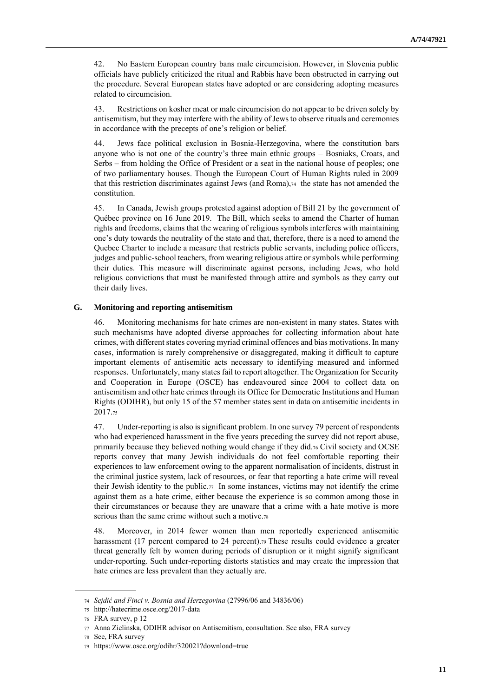42. No Eastern European country bans male circumcision. However, in Slovenia public officials have publicly criticized the ritual and Rabbis have been obstructed in carrying out the procedure. Several European states have adopted or are considering adopting measures related to circumcision.

43. Restrictions on kosher meat or male circumcision do not appear to be driven solely by antisemitism, but they may interfere with the ability of Jews to observe rituals and ceremonies in accordance with the precepts of one's religion or belief.

44. Jews face political exclusion in Bosnia-Herzegovina, where the constitution bars anyone who is not one of the country's three main ethnic groups – Bosniaks, Croats, and Serbs – from holding the Office of President or a seat in the national house of peoples; one of two parliamentary houses. Though the European Court of Human Rights ruled in 2009 that this restriction discriminates against Jews (and Roma),74 the state has not amended the constitution.

45. In Canada, Jewish groups protested against adoption of Bill 21 by the government of Québec province on 16 June 2019. The Bill, which seeks to amend the Charter of human rights and freedoms, claims that the wearing of religious symbols interferes with maintaining one's duty towards the neutrality of the state and that, therefore, there is a need to amend the Quebec Charter to include a measure that restricts public servants, including police officers, judges and public-school teachers, from wearing religious attire or symbols while performing their duties. This measure will discriminate against persons, including Jews, who hold religious convictions that must be manifested through attire and symbols as they carry out their daily lives.

#### **G. Monitoring and reporting antisemitism**

46. Monitoring mechanisms for hate crimes are non-existent in many states. States with such mechanisms have adopted diverse approaches for collecting information about hate crimes, with different states covering myriad criminal offences and bias motivations. In many cases, information is rarely comprehensive or disaggregated, making it difficult to capture important elements of antisemitic acts necessary to identifying measured and informed responses. Unfortunately, many states fail to report altogether. The Organization for Security and Cooperation in Europe (OSCE) has endeavoured since 2004 to collect data on antisemitism and other hate crimes through its Office for Democratic Institutions and Human Rights (ODIHR), but only 15 of the 57 member states sent in data on antisemitic incidents in 2017.<sup>75</sup>

47. Under-reporting is also is significant problem. In one survey 79 percent of respondents who had experienced harassment in the five years preceding the survey did not report abuse, primarily because they believed nothing would change if they did.<sup>76</sup> Civil society and OCSE reports convey that many Jewish individuals do not feel comfortable reporting their experiences to law enforcement owing to the apparent normalisation of incidents, distrust in the criminal justice system, lack of resources, or fear that reporting a hate crime will reveal their Jewish identity to the public.77 In some instances, victims may not identify the crime against them as a hate crime, either because the experience is so common among those in their circumstances or because they are unaware that a crime with a hate motive is more serious than the same crime without such a motive.<sup>78</sup>

48. Moreover, in 2014 fewer women than men reportedly experienced antisemitic harassment (17 percent compared to 24 percent).<sup>79</sup> These results could evidence a greater threat generally felt by women during periods of disruption or it might signify significant under-reporting. Such under-reporting distorts statistics and may create the impression that hate crimes are less prevalent than they actually are.

<sup>74</sup> *Sejdić and Finci v. Bosnia and Herzegovina* (27996/06 and 34836/06)

<sup>75</sup> <http://hatecrime.osce.org/2017-data>

<sup>76</sup> FRA survey, p 12

<sup>77</sup> Anna Zielinska, ODIHR advisor on Antisemitism, consultation. See also, FRA survey

<sup>78</sup> See, FRA survey

<sup>79</sup> <https://www.osce.org/odihr/320021?download=true>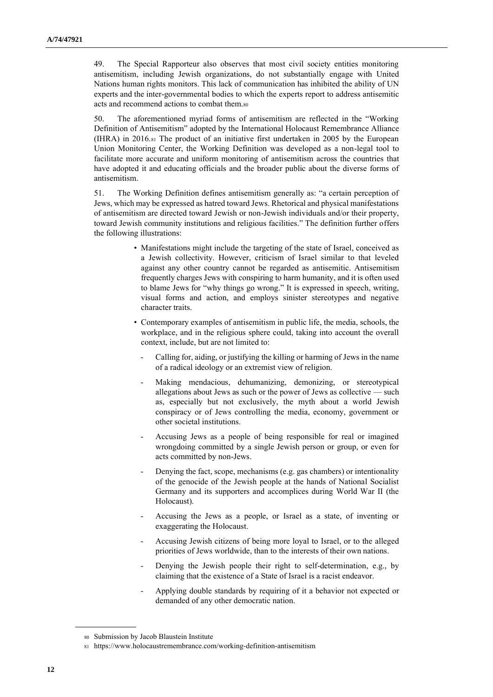49. The Special Rapporteur also observes that most civil society entities monitoring antisemitism, including Jewish organizations, do not substantially engage with United Nations human rights monitors. This lack of communication has inhibited the ability of UN experts and the inter-governmental bodies to which the experts report to address antisemitic acts and recommend actions to combat them.<sup>80</sup>

50. The aforementioned myriad forms of antisemitism are reflected in the "Working Definition of Antisemitism" adopted by the International Holocaust Remembrance Alliance (IHRA) in 2016.<sup>81</sup> The product of an initiative first undertaken in 2005 by the European Union Monitoring Center, the Working Definition was developed as a non-legal tool to facilitate more accurate and uniform monitoring of antisemitism across the countries that have adopted it and educating officials and the broader public about the diverse forms of antisemitism.

51. The Working Definition defines antisemitism generally as: "a certain perception of Jews, which may be expressed as hatred toward Jews. Rhetorical and physical manifestations of antisemitism are directed toward Jewish or non-Jewish individuals and/or their property, toward Jewish community institutions and religious facilities." The definition further offers the following illustrations:

- Manifestations might include the targeting of the state of Israel, conceived as a Jewish collectivity. However, criticism of Israel similar to that leveled against any other country cannot be regarded as antisemitic. Antisemitism frequently charges Jews with conspiring to harm humanity, and it is often used to blame Jews for "why things go wrong." It is expressed in speech, writing, visual forms and action, and employs sinister stereotypes and negative character traits.
- Contemporary examples of antisemitism in public life, the media, schools, the workplace, and in the religious sphere could, taking into account the overall context, include, but are not limited to:
	- Calling for, aiding, or justifying the killing or harming of Jews in the name of a radical ideology or an extremist view of religion.
	- Making mendacious, dehumanizing, demonizing, or stereotypical allegations about Jews as such or the power of Jews as collective — such as, especially but not exclusively, the myth about a world Jewish conspiracy or of Jews controlling the media, economy, government or other societal institutions.
	- Accusing Jews as a people of being responsible for real or imagined wrongdoing committed by a single Jewish person or group, or even for acts committed by non-Jews.
	- Denying the fact, scope, mechanisms (e.g. gas chambers) or intentionality of the genocide of the Jewish people at the hands of National Socialist Germany and its supporters and accomplices during World War II (the Holocaust).
	- Accusing the Jews as a people, or Israel as a state, of inventing or exaggerating the Holocaust.
	- Accusing Jewish citizens of being more loyal to Israel, or to the alleged priorities of Jews worldwide, than to the interests of their own nations.
	- Denying the Jewish people their right to self-determination, e.g., by claiming that the existence of a State of Israel is a racist endeavor.
	- Applying double standards by requiring of it a behavior not expected or demanded of any other democratic nation.

<sup>80</sup> Submission by Jacob Blaustein Institute

<sup>81</sup> <https://www.holocaustremembrance.com/working-definition-antisemitism>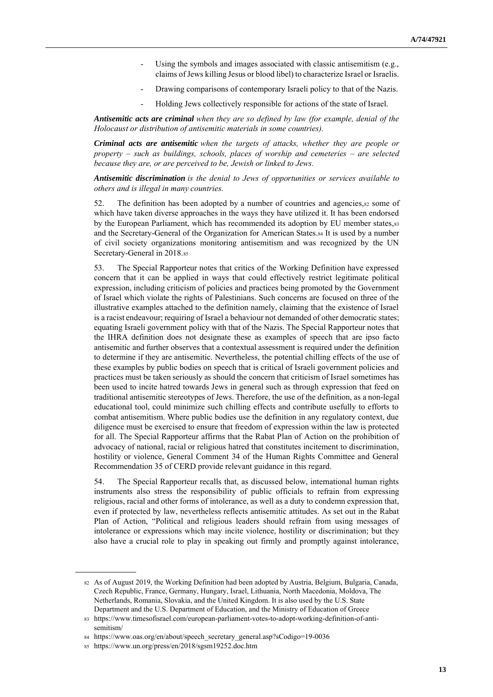- Using the symbols and images associated with classic antisemitism (e.g., claims of Jews killing Jesus or blood libel) to characterize Israel or Israelis.
- Drawing comparisons of contemporary Israeli policy to that of the Nazis.
- Holding Jews collectively responsible for actions of the state of Israel.

*Antisemitic acts are criminal when they are so defined by law (for example, denial of the Holocaust or distribution of antisemitic materials in some countries).* 

*Criminal acts are antisemitic when the targets of attacks, whether they are people or property – such as buildings, schools, places of worship and cemeteries – are selected because they are, or are perceived to be, Jewish or linked to Jews.*

*Antisemitic discrimination is the denial to Jews of opportunities or services available to others and is illegal in many countries.*

52. The definition has been adopted by a number of countries and agencies, 82 some of which have taken diverse approaches in the ways they have utilized it. It has been endorsed by the European Parliament, which has recommended its adoption by EU member states, s3 and the Secretary-General of the Organization for American States.<sup>84</sup> It is used by a number of civil society organizations monitoring antisemitism and was recognized by the UN Secretary-General in 2018.<sup>85</sup>

53. The Special Rapporteur notes that critics of the Working Definition have expressed concern that it can be applied in ways that could effectively restrict legitimate political expression, including criticism of policies and practices being promoted by the Government of Israel which violate the rights of Palestinians. Such concerns are focused on three of the illustrative examples attached to the definition namely, claiming that the existence of Israel is a racist endeavour; requiring of Israel a behaviour not demanded of other democratic states; equating Israeli government policy with that of the Nazis. The Special Rapporteur notes that the IHRA definition does not designate these as examples of speech that are ipso facto antisemitic and further observes that a contextual assessment is required under the definition to determine if they are antisemitic. Nevertheless, the potential chilling effects of the use of these examples by public bodies on speech that is critical of Israeli government policies and practices must be taken seriously as should the concern that criticism of Israel sometimes has been used to incite hatred towards Jews in general such as through expression that feed on traditional antisemitic stereotypes of Jews. Therefore, the use of the definition, as a non-legal educational tool, could minimize such chilling effects and contribute usefully to efforts to combat antisemitism. Where public bodies use the definition in any regulatory context, due diligence must be exercised to ensure that freedom of expression within the law is protected for all. The Special Rapporteur affirms that the Rabat Plan of Action on the prohibition of advocacy of national, racial or religious hatred that constitutes incitement to discrimination, hostility or violence, General Comment 34 of the Human Rights Committee and General Recommendation 35 of CERD provide relevant guidance in this regard.

54. The Special Rapporteur recalls that, as discussed below, international human rights instruments also stress the responsibility of public officials to refrain from expressing religious, racial and other forms of intolerance, as well as a duty to condemn expression that, even if protected by law, nevertheless reflects antisemitic attitudes. As set out in the Rabat Plan of Action, "Political and religious leaders should refrain from using messages of intolerance or expressions which may incite violence, hostility or discrimination; but they also have a crucial role to play in speaking out firmly and promptly against intolerance,

<sup>82</sup> As of August 2019, the Working Definition had been adopted by Austria, Belgium, Bulgaria, Canada, Czech Republic, France, Germany, Hungary, Israel, Lithuania, North Macedonia, Moldova, The Netherlands, Romania, Slovakia, and the United Kingdom. It is also used by the U.S. State Department and the U.S. Department of Education, and the Ministry of Education of Greece

<sup>83</sup> [https://www.timesofisrael.com/european-parliament-votes-to-adopt-working-definition-of-anti](https://www.timesofisrael.com/european-parliament-votes-to-adopt-working-definition-of-anti-semitism/)[semitism/](https://www.timesofisrael.com/european-parliament-votes-to-adopt-working-definition-of-anti-semitism/)

<sup>84</sup> [https://www.oas.org/en/about/speech\\_secretary\\_general.asp?sCodigo=19-0036](https://www.oas.org/en/about/speech_secretary_general.asp?sCodigo=19-0036)

<sup>85</sup> <https://www.un.org/press/en/2018/sgsm19252.doc.htm>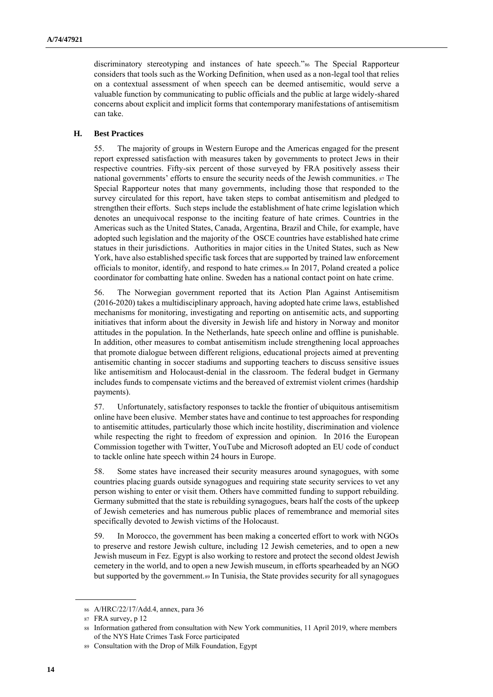discriminatory stereotyping and instances of hate speech."<sup>86</sup> The Special Rapporteur considers that tools such as the Working Definition, when used as a non-legal tool that relies on a contextual assessment of when speech can be deemed antisemitic, would serve a valuable function by communicating to public officials and the public at large widely-shared concerns about explicit and implicit forms that contemporary manifestations of antisemitism can take.

# **H. Best Practices**

55. The majority of groups in Western Europe and the Americas engaged for the present report expressed satisfaction with measures taken by governments to protect Jews in their respective countries. Fifty-six percent of those surveyed by FRA positively assess their national governments' efforts to ensure the security needs of the Jewish communities. <sup>87</sup> The Special Rapporteur notes that many governments, including those that responded to the survey circulated for this report, have taken steps to combat antisemitism and pledged to strengthen their efforts. Such steps include the establishment of hate crime legislation which denotes an unequivocal response to the inciting feature of hate crimes. Countries in the Americas such as the United States, Canada, Argentina, Brazil and Chile, for example, have adopted such legislation and the majority of the OSCE countries have established hate crime statues in their jurisdictions. Authorities in major cities in the United States, such as New York, have also established specific task forces that are supported by trained law enforcement officials to monitor, identify, and respond to hate crimes.<sup>88</sup> In 2017, Poland created a police coordinator for combatting hate online. Sweden has a national contact point on hate crime.

56. The Norwegian government reported that its Action Plan Against Antisemitism (2016-2020) takes a multidisciplinary approach, having adopted hate crime laws, established mechanisms for monitoring, investigating and reporting on antisemitic acts, and supporting initiatives that inform about the diversity in Jewish life and history in Norway and monitor attitudes in the population. In the Netherlands, hate speech online and offline is punishable. In addition, other measures to combat antisemitism include strengthening local approaches that promote dialogue between different religions, educational projects aimed at preventing antisemitic chanting in soccer stadiums and supporting teachers to discuss sensitive issues like antisemitism and Holocaust-denial in the classroom. The federal budget in Germany includes funds to compensate victims and the bereaved of extremist violent crimes (hardship payments).

57. Unfortunately, satisfactory responses to tackle the frontier of ubiquitous antisemitism online have been elusive. Member states have and continue to test approaches for responding to antisemitic attitudes, particularly those which incite hostility, discrimination and violence while respecting the right to freedom of expression and opinion. In 2016 the European Commission together with Twitter, YouTube and Microsoft adopted an EU code of conduct to tackle online hate speech within 24 hours in Europe.

58. Some states have increased their security measures around synagogues, with some countries placing guards outside synagogues and requiring state security services to vet any person wishing to enter or visit them. Others have committed funding to support rebuilding. Germany submitted that the state is rebuilding synagogues, bears half the costs of the upkeep of Jewish cemeteries and has numerous public places of remembrance and memorial sites specifically devoted to Jewish victims of the Holocaust.

59. In Morocco, the government has been making a concerted effort to work with NGOs to preserve and restore Jewish culture, including 12 Jewish cemeteries, and to open a new Jewish museum in Fez. Egypt is also working to restore and protect the second oldest Jewish cemetery in the world, and to open a new Jewish museum, in efforts spearheaded by an NGO but supported by the government.<sup>89</sup> In Tunisia, the State provides security for all synagogues

<sup>86</sup> A/HRC/22/17/Add.4, annex, para 36

<sup>87</sup> FRA survey, p 12

<sup>88</sup> Information gathered from consultation with New York communities, 11 April 2019, where members of the NYS Hate Crimes Task Force participated

<sup>89</sup> Consultation with the Drop of Milk Foundation, Egypt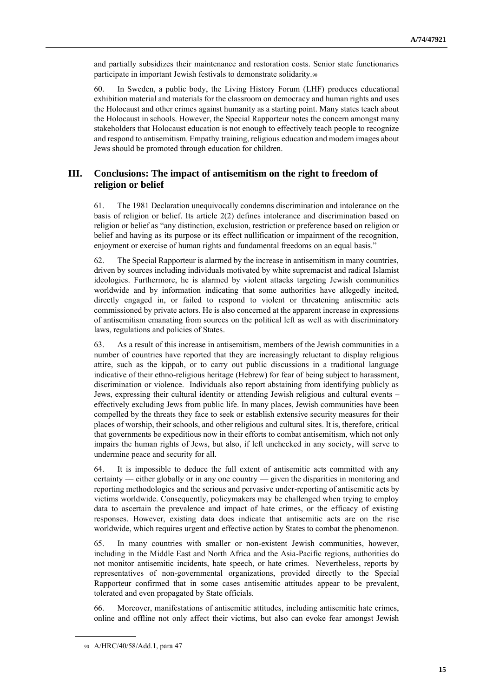and partially subsidizes their maintenance and restoration costs. Senior state functionaries participate in important Jewish festivals to demonstrate solidarity.<sup>90</sup>

60. In Sweden, a public body, the Living History Forum (LHF) produces educational exhibition material and materials for the classroom on democracy and human rights and uses the Holocaust and other crimes against humanity as a starting point. Many states teach about the Holocaust in schools. However, the Special Rapporteur notes the concern amongst many stakeholders that Holocaust education is not enough to effectively teach people to recognize and respond to antisemitism. Empathy training, religious education and modern images about Jews should be promoted through education for children.

# **III. Conclusions: The impact of antisemitism on the right to freedom of religion or belief**

61. The 1981 Declaration unequivocally condemns discrimination and intolerance on the basis of religion or belief. Its article 2(2) defines intolerance and discrimination based on religion or belief as "any distinction, exclusion, restriction or preference based on religion or belief and having as its purpose or its effect nullification or impairment of the recognition, enjoyment or exercise of human rights and fundamental freedoms on an equal basis."

62. The Special Rapporteur is alarmed by the increase in antisemitism in many countries, driven by sources including individuals motivated by white supremacist and radical Islamist ideologies. Furthermore, he is alarmed by violent attacks targeting Jewish communities worldwide and by information indicating that some authorities have allegedly incited, directly engaged in, or failed to respond to violent or threatening antisemitic acts commissioned by private actors. He is also concerned at the apparent increase in expressions of antisemitism emanating from sources on the political left as well as with discriminatory laws, regulations and policies of States.

63. As a result of this increase in antisemitism, members of the Jewish communities in a number of countries have reported that they are increasingly reluctant to display religious attire, such as the kippah, or to carry out public discussions in a traditional language indicative of their ethno-religious heritage (Hebrew) for fear of being subject to harassment, discrimination or violence. Individuals also report abstaining from identifying publicly as Jews, expressing their cultural identity or attending Jewish religious and cultural events – effectively excluding Jews from public life. In many places, Jewish communities have been compelled by the threats they face to seek or establish extensive security measures for their places of worship, their schools, and other religious and cultural sites. It is, therefore, critical that governments be expeditious now in their efforts to combat antisemitism, which not only impairs the human rights of Jews, but also, if left unchecked in any society, will serve to undermine peace and security for all.

64. It is impossible to deduce the full extent of antisemitic acts committed with any certainty — either globally or in any one country — given the disparities in monitoring and reporting methodologies and the serious and pervasive under-reporting of antisemitic acts by victims worldwide. Consequently, policymakers may be challenged when trying to employ data to ascertain the prevalence and impact of hate crimes, or the efficacy of existing responses. However, existing data does indicate that antisemitic acts are on the rise worldwide, which requires urgent and effective action by States to combat the phenomenon.

65. In many countries with smaller or non-existent Jewish communities, however, including in the Middle East and North Africa and the Asia-Pacific regions, authorities do not monitor antisemitic incidents, hate speech, or hate crimes. Nevertheless, reports by representatives of non-governmental organizations, provided directly to the Special Rapporteur confirmed that in some cases antisemitic attitudes appear to be prevalent, tolerated and even propagated by State officials.

66. Moreover, manifestations of antisemitic attitudes, including antisemitic hate crimes, online and offline not only affect their victims, but also can evoke fear amongst Jewish

<sup>90</sup> A/HRC/40/58/Add.1, para 47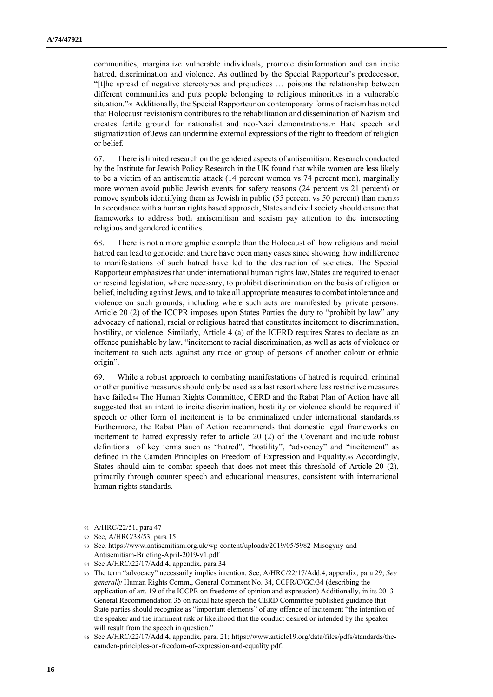communities, marginalize vulnerable individuals, promote disinformation and can incite hatred, discrimination and violence. As outlined by the Special Rapporteur's predecessor, "[t]he spread of negative stereotypes and prejudices … poisons the relationship between different communities and puts people belonging to religious minorities in a vulnerable situation."<sup>91</sup> Additionally, the Special Rapporteur on contemporary forms of racism has noted that Holocaust revisionism contributes to the rehabilitation and dissemination of Nazism and creates fertile ground for nationalist and neo-Nazi demonstrations.<sup>92</sup> Hate speech and stigmatization of Jews can undermine external expressions of the right to freedom of religion or belief.

67. There is limited research on the gendered aspects of antisemitism. Research conducted by the Institute for Jewish Policy Research in the UK found that while women are less likely to be a victim of an antisemitic attack (14 percent women vs 74 percent men), marginally more women avoid public Jewish events for safety reasons (24 percent vs 21 percent) or remove symbols identifying them as Jewish in public (55 percent vs 50 percent) than men.93 In accordance with a human rights based approach, States and civil society should ensure that frameworks to address both antisemitism and sexism pay attention to the intersecting religious and gendered identities.

68. There is not a more graphic example than the Holocaust of how religious and racial hatred can lead to genocide; and there have been many cases since showing how indifference to manifestations of such hatred have led to the destruction of societies. The Special Rapporteur emphasizes that under international human rights law, States are required to enact or rescind legislation, where necessary, to prohibit discrimination on the basis of religion or belief, including against Jews, and to take all appropriate measures to combat intolerance and violence on such grounds, including where such acts are manifested by private persons. Article 20 (2) of the ICCPR imposes upon States Parties the duty to "prohibit by law" any advocacy of national, racial or religious hatred that constitutes incitement to discrimination, hostility, or violence. Similarly, Article 4 (a) of the ICERD requires States to declare as an offence punishable by law, "incitement to racial discrimination, as well as acts of violence or incitement to such acts against any race or group of persons of another colour or ethnic origin".

69. While a robust approach to combating manifestations of hatred is required, criminal or other punitive measures should only be used as a last resort where less restrictive measures have failed.<sup>94</sup> The Human Rights Committee, CERD and the Rabat Plan of Action have all suggested that an intent to incite discrimination, hostility or violence should be required if speech or other form of incitement is to be criminalized under international standards.95 Furthermore, the Rabat Plan of Action recommends that domestic legal frameworks on incitement to hatred expressly refer to article 20 (2) of the Covenant and include robust definitions of key terms such as "hatred", "hostility", "advocacy" and "incitement" as defined in the Camden Principles on Freedom of Expression and Equality.<sup>96</sup> Accordingly, States should aim to combat speech that does not meet this threshold of Article 20 (2), primarily through counter speech and educational measures, consistent with international human rights standards.

<sup>91</sup> A/HRC/22/51, para 47

<sup>92</sup> See, A/HRC/38/53, para 15

<sup>93</sup> See*,* [https://www.antisemitism.org.uk/wp-content/uploads/2019/05/5982-Misogyny-and-](https://www.antisemitism.org.uk/wp-content/uploads/2019/05/5982-Misogyny-and-Antisemitism-Briefing-April-2019-v1.pdf)[Antisemitism-Briefing-April-2019-v1.pdf](https://www.antisemitism.org.uk/wp-content/uploads/2019/05/5982-Misogyny-and-Antisemitism-Briefing-April-2019-v1.pdf)

<sup>94</sup> See A/HRC/22/17/Add.4, appendix, para 34

<sup>95</sup> The term "advocacy" necessarily implies intention. See, A/HRC/22/17/Add.4, appendix, para 29; *See generally* Human Rights Comm., General Comment No. 34, CCPR/C/GC/34 (describing the application of art. 19 of the ICCPR on freedoms of opinion and expression) Additionally, in its 2013 General Recommendation 35 on racial hate speech the CERD Committee published guidance that State parties should recognize as "important elements" of any offence of incitement "the intention of the speaker and the imminent risk or likelihood that the conduct desired or intended by the speaker will result from the speech in question."

<sup>96</sup> See A/HRC/22/17/Add.4, appendix, para. 21; https://www.article19.org/data/files/pdfs/standards/thecamden-principles-on-freedom-of-expression-and-equality.pdf.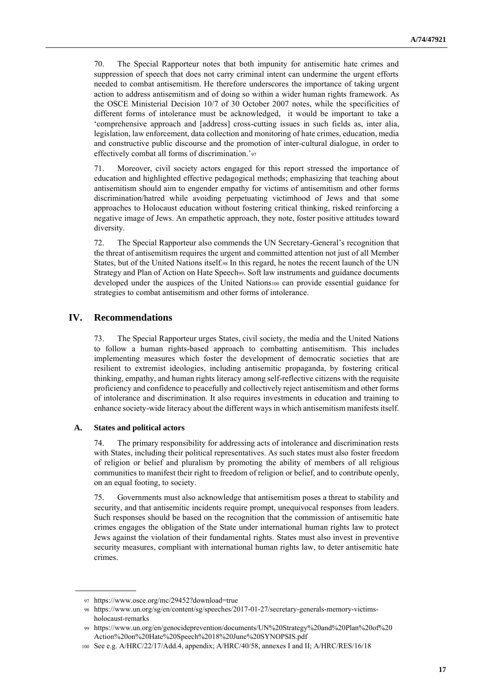70. The Special Rapporteur notes that both impunity for antisemitic hate crimes and suppression of speech that does not carry criminal intent can undermine the urgent efforts needed to combat antisemitism. He therefore underscores the importance of taking urgent action to address antisemitism and of doing so within a wider human rights framework. As the OSCE Ministerial Decision 10/7 of 30 October 2007 notes, while the specificities of different forms of intolerance must be acknowledged, it would be important to take a 'comprehensive approach and [address] cross-cutting issues in such fields as, inter alia, legislation, law enforcement, data collection and monitoring of hate crimes, education, media and constructive public discourse and the promotion of inter-cultural dialogue, in order to effectively combat all forms of discrimination.'<sup>97</sup>

71. Moreover, civil society actors engaged for this report stressed the importance of education and highlighted effective pedagogical methods; emphasizing that teaching about antisemitism should aim to engender empathy for victims of antisemitism and other forms discrimination/hatred while avoiding perpetuating victimhood of Jews and that some approaches to Holocaust education without fostering critical thinking, risked reinforcing a negative image of Jews. An empathetic approach, they note, foster positive attitudes toward diversity.

72. The Special Rapporteur also commends the UN Secretary-General's recognition that the threat of antisemitism requires the urgent and committed attention not just of all Member States, but of the United Nations itself.<sup>98</sup> In this regard, he notes the recent launch of the UN Strategy and Plan of Action on Hate Speech99. Soft law instruments and guidance documents developed under the auspices of the United Nations<sup>100</sup> can provide essential guidance for strategies to combat antisemitism and other forms of intolerance.

# **IV. Recommendations**

73. The Special Rapporteur urges States, civil society, the media and the United Nations to follow a human rights-based approach to combatting antisemitism. This includes implementing measures which foster the development of democratic societies that are resilient to extremist ideologies, including antisemitic propaganda, by fostering critical thinking, empathy, and human rights literacy among self-reflective citizens with the requisite proficiency and confidence to peacefully and collectively reject antisemitism and other forms of intolerance and discrimination. It also requires investments in education and training to enhance society-wide literacy about the different ways in which antisemitism manifests itself.

#### **A. States and political actors**

74. The primary responsibility for addressing acts of intolerance and discrimination rests with States, including their political representatives. As such states must also foster freedom of religion or belief and pluralism by promoting the ability of members of all religious communities to manifest their right to freedom of religion or belief, and to contribute openly, on an equal footing, to society.

75. Governments must also acknowledge that antisemitism poses a threat to stability and security, and that antisemitic incidents require prompt, unequivocal responses from leaders. Such responses should be based on the recognition that the commission of antisemitic hate crimes engages the obligation of the State under international human rights law to protect Jews against the violation of their fundamental rights. States must also invest in preventive security measures, compliant with international human rights law, to deter antisemitic hate crimes.

<sup>97</sup> https://www.osce.org/mc/29452?download=true

<sup>98</sup> [https://www.un.org/sg/en/content/sg/speeches/2017-01-27/secretary-generals-memory-victims](https://www.un.org/sg/en/content/sg/speeches/2017-01-27/secretary-generals-memory-victims-holocaust-remarks)[holocaust-remarks](https://www.un.org/sg/en/content/sg/speeches/2017-01-27/secretary-generals-memory-victims-holocaust-remarks)

<sup>99</sup> https://www.un.org/en/genocideprevention/documents/UN%20Strategy%20and%20Plan%20of%20 Action%20on%20Hate%20Speech%2018%20June%20SYNOPSIS.pdf

<sup>100</sup> See e.g. A/HRC/22/17/Add.4, appendix; A/HRC/40/58, annexes I and II; A/HRC/RES/16/18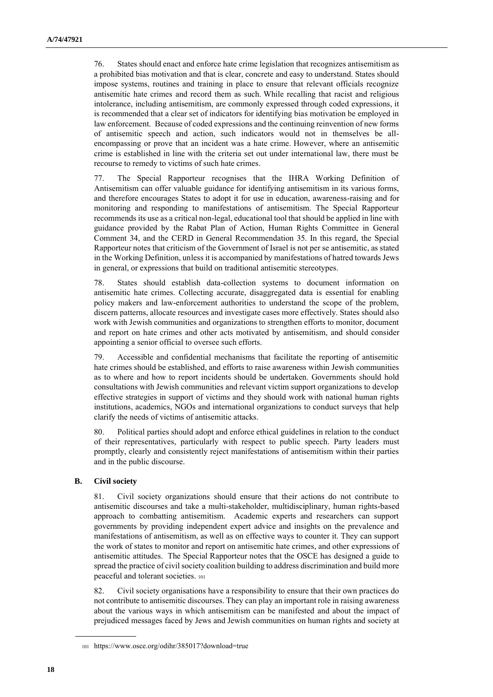76. States should enact and enforce hate crime legislation that recognizes antisemitism as a prohibited bias motivation and that is clear, concrete and easy to understand. States should impose systems, routines and training in place to ensure that relevant officials recognize antisemitic hate crimes and record them as such. While recalling that racist and religious intolerance, including antisemitism, are commonly expressed through coded expressions, it is recommended that a clear set of indicators for identifying bias motivation be employed in law enforcement. Because of coded expressions and the continuing reinvention of new forms of antisemitic speech and action, such indicators would not in themselves be allencompassing or prove that an incident was a hate crime. However, where an antisemitic crime is established in line with the criteria set out under international law, there must be recourse to remedy to victims of such hate crimes.

77. The Special Rapporteur recognises that the IHRA Working Definition of Antisemitism can offer valuable guidance for identifying antisemitism in its various forms, and therefore encourages States to adopt it for use in education, awareness-raising and for monitoring and responding to manifestations of antisemitism. The Special Rapporteur recommends its use as a critical non-legal, educational tool that should be applied in line with guidance provided by the Rabat Plan of Action, Human Rights Committee in General Comment 34, and the CERD in General Recommendation 35. In this regard, the Special Rapporteur notes that criticism of the Government of Israel is not per se antisemitic, as stated in the Working Definition, unless it is accompanied by manifestations of hatred towards Jews in general, or expressions that build on traditional antisemitic stereotypes.

78. States should establish data-collection systems to document information on antisemitic hate crimes. Collecting accurate, disaggregated data is essential for enabling policy makers and law-enforcement authorities to understand the scope of the problem, discern patterns, allocate resources and investigate cases more effectively. States should also work with Jewish communities and organizations to strengthen efforts to monitor, document and report on hate crimes and other acts motivated by antisemitism, and should consider appointing a senior official to oversee such efforts.

79. Accessible and confidential mechanisms that facilitate the reporting of antisemitic hate crimes should be established, and efforts to raise awareness within Jewish communities as to where and how to report incidents should be undertaken. Governments should hold consultations with Jewish communities and relevant victim support organizations to develop effective strategies in support of victims and they should work with national human rights institutions, academics, NGOs and international organizations to conduct surveys that help clarify the needs of victims of antisemitic attacks.

80. Political parties should adopt and enforce ethical guidelines in relation to the conduct of their representatives, particularly with respect to public speech. Party leaders must promptly, clearly and consistently reject manifestations of antisemitism within their parties and in the public discourse.

# **B. Civil society**

81. Civil society organizations should ensure that their actions do not contribute to antisemitic discourses and take a multi-stakeholder, multidisciplinary, human rights-based approach to combatting antisemitism. Academic experts and researchers can support governments by providing independent expert advice and insights on the prevalence and manifestations of antisemitism, as well as on effective ways to counter it. They can support the work of states to monitor and report on antisemitic hate crimes, and other expressions of antisemitic attitudes. The Special Rapporteur notes that the OSCE has designed a guide to spread the practice of civil society coalition building to address discrimination and build more peaceful and tolerant societies. <sup>101</sup>

82. Civil society organisations have a responsibility to ensure that their own practices do not contribute to antisemitic discourses. They can play an important role in raising awareness about the various ways in which antisemitism can be manifested and about the impact of prejudiced messages faced by Jews and Jewish communities on human rights and society at

<sup>101</sup> <https://www.osce.org/odihr/385017?download=true>